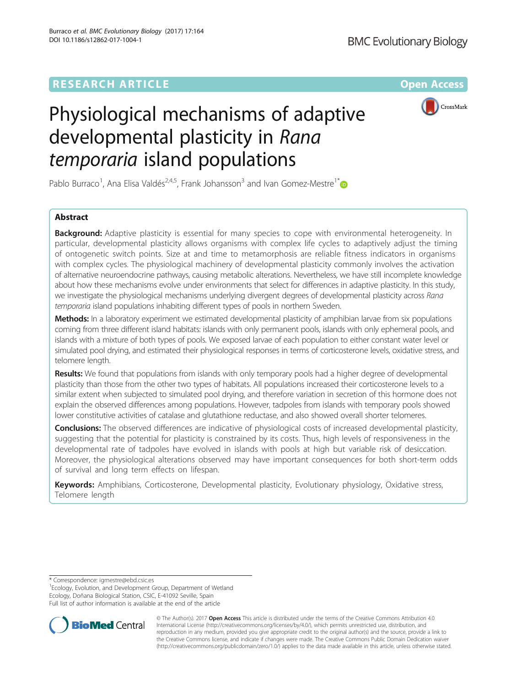## **RESEARCH ARTICLE External Structure Community Community Community Community Community Community Community Community**



# Physiological mechanisms of adaptive developmental plasticity in Rana temporaria island populations

Pablo Burraco<sup>1</sup>, Ana Elisa Valdés<sup>2,4,5</sup>, Frank Johansson<sup>3</sup> and Ivan Gomez-Mestre<sup>1\*</sup>

## Abstract

**Background:** Adaptive plasticity is essential for many species to cope with environmental heterogeneity. In particular, developmental plasticity allows organisms with complex life cycles to adaptively adjust the timing of ontogenetic switch points. Size at and time to metamorphosis are reliable fitness indicators in organisms with complex cycles. The physiological machinery of developmental plasticity commonly involves the activation of alternative neuroendocrine pathways, causing metabolic alterations. Nevertheless, we have still incomplete knowledge about how these mechanisms evolve under environments that select for differences in adaptive plasticity. In this study, we investigate the physiological mechanisms underlying divergent degrees of developmental plasticity across Rana temporaria island populations inhabiting different types of pools in northern Sweden.

Methods: In a laboratory experiment we estimated developmental plasticity of amphibian larvae from six populations coming from three different island habitats: islands with only permanent pools, islands with only ephemeral pools, and islands with a mixture of both types of pools. We exposed larvae of each population to either constant water level or simulated pool drying, and estimated their physiological responses in terms of corticosterone levels, oxidative stress, and telomere length.

Results: We found that populations from islands with only temporary pools had a higher degree of developmental plasticity than those from the other two types of habitats. All populations increased their corticosterone levels to a similar extent when subjected to simulated pool drying, and therefore variation in secretion of this hormone does not explain the observed differences among populations. However, tadpoles from islands with temporary pools showed lower constitutive activities of catalase and glutathione reductase, and also showed overall shorter telomeres.

**Conclusions:** The observed differences are indicative of physiological costs of increased developmental plasticity, suggesting that the potential for plasticity is constrained by its costs. Thus, high levels of responsiveness in the developmental rate of tadpoles have evolved in islands with pools at high but variable risk of desiccation. Moreover, the physiological alterations observed may have important consequences for both short-term odds of survival and long term effects on lifespan.

Keywords: Amphibians, Corticosterone, Developmental plasticity, Evolutionary physiology, Oxidative stress, Telomere length

\* Correspondence: [igmestre@ebd.csic.es](mailto:igmestre@ebd.csic.es) <sup>1</sup>

<sup>1</sup> Ecology, Evolution, and Development Group, Department of Wetland Ecology, Doñana Biological Station, CSIC, E-41092 Seville, Spain Full list of author information is available at the end of the article



© The Author(s). 2017 **Open Access** This article is distributed under the terms of the Creative Commons Attribution 4.0 International License [\(http://creativecommons.org/licenses/by/4.0/](http://creativecommons.org/licenses/by/4.0/)), which permits unrestricted use, distribution, and reproduction in any medium, provided you give appropriate credit to the original author(s) and the source, provide a link to the Creative Commons license, and indicate if changes were made. The Creative Commons Public Domain Dedication waiver [\(http://creativecommons.org/publicdomain/zero/1.0/](http://creativecommons.org/publicdomain/zero/1.0/)) applies to the data made available in this article, unless otherwise stated.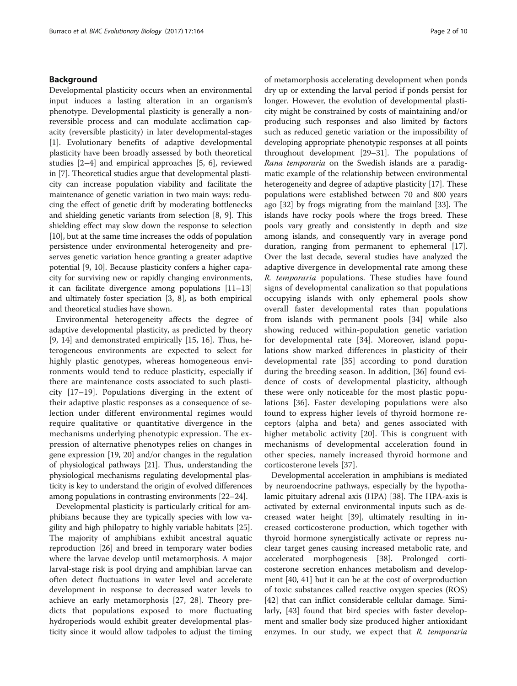## Background

Developmental plasticity occurs when an environmental input induces a lasting alteration in an organism's phenotype. Developmental plasticity is generally a nonreversible process and can modulate acclimation capacity (reversible plasticity) in later developmental-stages [[1\]](#page-8-0). Evolutionary benefits of adaptive developmental plasticity have been broadly assessed by both theoretical studies [\[2](#page-8-0)–[4\]](#page-8-0) and empirical approaches [\[5](#page-8-0), [6](#page-8-0)], reviewed in [\[7](#page-8-0)]. Theoretical studies argue that developmental plasticity can increase population viability and facilitate the maintenance of genetic variation in two main ways: reducing the effect of genetic drift by moderating bottlenecks and shielding genetic variants from selection [\[8, 9\]](#page-8-0). This shielding effect may slow down the response to selection [[10](#page-8-0)], but at the same time increases the odds of population persistence under environmental heterogeneity and preserves genetic variation hence granting a greater adaptive potential [\[9](#page-8-0), [10](#page-8-0)]. Because plasticity confers a higher capacity for surviving new or rapidly changing environments, it can facilitate divergence among populations [\[11](#page-8-0)–[13](#page-8-0)] and ultimately foster speciation [\[3](#page-8-0), [8](#page-8-0)], as both empirical and theoretical studies have shown.

Environmental heterogeneity affects the degree of adaptive developmental plasticity, as predicted by theory [[9, 14](#page-8-0)] and demonstrated empirically [[15](#page-8-0), [16\]](#page-8-0). Thus, heterogeneous environments are expected to select for highly plastic genotypes, whereas homogeneous environments would tend to reduce plasticity, especially if there are maintenance costs associated to such plasticity [[17](#page-8-0)–[19\]](#page-8-0). Populations diverging in the extent of their adaptive plastic responses as a consequence of selection under different environmental regimes would require qualitative or quantitative divergence in the mechanisms underlying phenotypic expression. The expression of alternative phenotypes relies on changes in gene expression [\[19, 20\]](#page-8-0) and/or changes in the regulation of physiological pathways [\[21\]](#page-8-0). Thus, understanding the physiological mechanisms regulating developmental plasticity is key to understand the origin of evolved differences among populations in contrasting environments [\[22](#page-8-0)–[24](#page-8-0)].

Developmental plasticity is particularly critical for amphibians because they are typically species with low vagility and high philopatry to highly variable habitats [\[25](#page-8-0)]. The majority of amphibians exhibit ancestral aquatic reproduction [\[26\]](#page-8-0) and breed in temporary water bodies where the larvae develop until metamorphosis. A major larval-stage risk is pool drying and amphibian larvae can often detect fluctuations in water level and accelerate development in response to decreased water levels to achieve an early metamorphosis [\[27, 28\]](#page-8-0). Theory predicts that populations exposed to more fluctuating hydroperiods would exhibit greater developmental plasticity since it would allow tadpoles to adjust the timing of metamorphosis accelerating development when ponds dry up or extending the larval period if ponds persist for longer. However, the evolution of developmental plasticity might be constrained by costs of maintaining and/or producing such responses and also limited by factors such as reduced genetic variation or the impossibility of developing appropriate phenotypic responses at all points throughout development [\[29](#page-8-0)–[31](#page-8-0)]. The populations of Rana temporaria on the Swedish islands are a paradigmatic example of the relationship between environmental heterogeneity and degree of adaptive plasticity [[17](#page-8-0)]. These populations were established between 70 and 800 years ago [\[32](#page-8-0)] by frogs migrating from the mainland [\[33\]](#page-8-0). The islands have rocky pools where the frogs breed. These pools vary greatly and consistently in depth and size among islands, and consequently vary in average pond duration, ranging from permanent to ephemeral [[17](#page-8-0)]. Over the last decade, several studies have analyzed the adaptive divergence in developmental rate among these R. temporaria populations. These studies have found signs of developmental canalization so that populations occupying islands with only ephemeral pools show overall faster developmental rates than populations from islands with permanent pools [\[34](#page-8-0)] while also showing reduced within-population genetic variation for developmental rate [\[34](#page-8-0)]. Moreover, island populations show marked differences in plasticity of their developmental rate [\[35](#page-8-0)] according to pond duration during the breeding season. In addition, [[36](#page-8-0)] found evidence of costs of developmental plasticity, although these were only noticeable for the most plastic populations [[36](#page-8-0)]. Faster developing populations were also found to express higher levels of thyroid hormone receptors (alpha and beta) and genes associated with higher metabolic activity [[20\]](#page-8-0). This is congruent with mechanisms of developmental acceleration found in other species, namely increased thyroid hormone and corticosterone levels [\[37](#page-8-0)].

Developmental acceleration in amphibians is mediated by neuroendocrine pathways, especially by the hypothalamic pituitary adrenal axis (HPA) [\[38](#page-8-0)]. The HPA-axis is activated by external environmental inputs such as decreased water height [[39\]](#page-8-0), ultimately resulting in increased corticosterone production, which together with thyroid hormone synergistically activate or repress nuclear target genes causing increased metabolic rate, and accelerated morphogenesis [\[38\]](#page-8-0). Prolonged corticosterone secretion enhances metabolism and development [\[40, 41\]](#page-9-0) but it can be at the cost of overproduction of toxic substances called reactive oxygen species (ROS) [[42\]](#page-9-0) that can inflict considerable cellular damage. Similarly, [\[43](#page-9-0)] found that bird species with faster development and smaller body size produced higher antioxidant enzymes. In our study, we expect that R. temporaria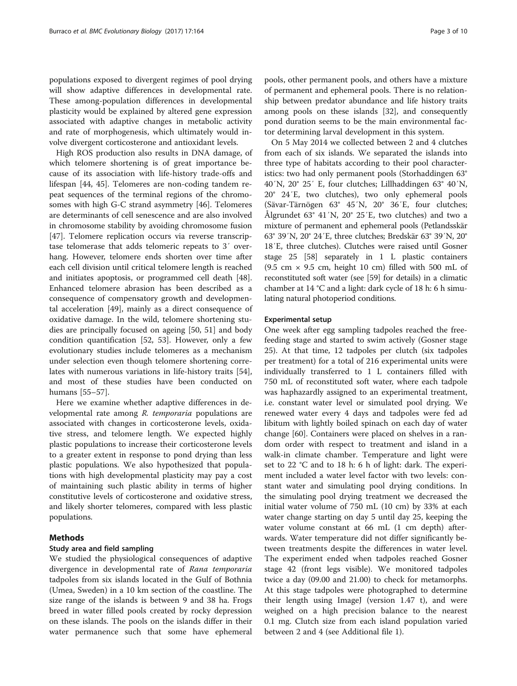populations exposed to divergent regimes of pool drying will show adaptive differences in developmental rate. These among-population differences in developmental plasticity would be explained by altered gene expression associated with adaptive changes in metabolic activity and rate of morphogenesis, which ultimately would involve divergent corticosterone and antioxidant levels.

High ROS production also results in DNA damage, of which telomere shortening is of great importance because of its association with life-history trade-offs and lifespan [[44, 45\]](#page-9-0). Telomeres are non-coding tandem repeat sequences of the terminal regions of the chromosomes with high G-C strand asymmetry [[46\]](#page-9-0). Telomeres are determinants of cell senescence and are also involved in chromosome stability by avoiding chromosome fusion [[47\]](#page-9-0). Telomere replication occurs via reverse transcriptase telomerase that adds telomeric repeats to 3′ overhang. However, telomere ends shorten over time after each cell division until critical telomere length is reached and initiates apoptosis, or programmed cell death [\[48](#page-9-0)]. Enhanced telomere abrasion has been described as a consequence of compensatory growth and developmental acceleration [\[49\]](#page-9-0), mainly as a direct consequence of oxidative damage. In the wild, telomere shortening studies are principally focused on ageing [\[50, 51](#page-9-0)] and body condition quantification [\[52, 53\]](#page-9-0). However, only a few evolutionary studies include telomeres as a mechanism under selection even though telomere shortening correlates with numerous variations in life-history traits [\[54](#page-9-0)], and most of these studies have been conducted on humans [\[55](#page-9-0)–[57\]](#page-9-0).

Here we examine whether adaptive differences in developmental rate among R. temporaria populations are associated with changes in corticosterone levels, oxidative stress, and telomere length. We expected highly plastic populations to increase their corticosterone levels to a greater extent in response to pond drying than less plastic populations. We also hypothesized that populations with high developmental plasticity may pay a cost of maintaining such plastic ability in terms of higher constitutive levels of corticosterone and oxidative stress, and likely shorter telomeres, compared with less plastic populations.

## Methods

## Study area and field sampling

We studied the physiological consequences of adaptive divergence in developmental rate of Rana temporaria tadpoles from six islands located in the Gulf of Bothnia (Umea, Sweden) in a 10 km section of the coastline. The size range of the islands is between 9 and 38 ha. Frogs breed in water filled pools created by rocky depression on these islands. The pools on the islands differ in their water permanence such that some have ephemeral pools, other permanent pools, and others have a mixture of permanent and ephemeral pools. There is no relationship between predator abundance and life history traits among pools on these islands [[32\]](#page-8-0), and consequently pond duration seems to be the main environmental factor determining larval development in this system.

On 5 May 2014 we collected between 2 and 4 clutches from each of six islands. We separated the islands into three type of habitats according to their pool characteristics: two had only permanent pools (Storhaddingen 63° 40′N, 20° 25′ E, four clutches; Lillhaddingen 63° 40′N, 20° 24′E, two clutches), two only ephemeral pools (Sävar-Tärnögen 63° 45′N, 20° 36′E, four clutches; Ålgrundet 63° 41′N, 20° 25′E, two clutches) and two a mixture of permanent and ephemeral pools (Petlandsskär 63° 39′N, 20° 24′E, three clutches; Bredskär 63° 39′N, 20° 18′E, three clutches). Clutches were raised until Gosner stage 25 [\[58](#page-9-0)] separately in 1 L plastic containers  $(9.5 \text{ cm} \times 9.5 \text{ cm}$ , height 10 cm) filled with 500 mL of reconstituted soft water (see [[59](#page-9-0)] for details) in a climatic chamber at 14 °C and a light: dark cycle of 18 h: 6 h simulating natural photoperiod conditions.

#### Experimental setup

One week after egg sampling tadpoles reached the freefeeding stage and started to swim actively (Gosner stage 25). At that time, 12 tadpoles per clutch (six tadpoles per treatment) for a total of 216 experimental units were individually transferred to 1 L containers filled with 750 mL of reconstituted soft water, where each tadpole was haphazardly assigned to an experimental treatment, i.e. constant water level or simulated pool drying. We renewed water every 4 days and tadpoles were fed ad libitum with lightly boiled spinach on each day of water change [[60](#page-9-0)]. Containers were placed on shelves in a random order with respect to treatment and island in a walk-in climate chamber. Temperature and light were set to 22 °C and to 18 h: 6 h of light: dark. The experiment included a water level factor with two levels: constant water and simulating pool drying conditions. In the simulating pool drying treatment we decreased the initial water volume of 750 mL (10 cm) by 33% at each water change starting on day 5 until day 25, keeping the water volume constant at 66 mL (1 cm depth) afterwards. Water temperature did not differ significantly between treatments despite the differences in water level. The experiment ended when tadpoles reached Gosner stage 42 (front legs visible). We monitored tadpoles twice a day (09.00 and 21.00) to check for metamorphs. At this stage tadpoles were photographed to determine their length using ImageJ (version 1.47 t), and were weighed on a high precision balance to the nearest 0.1 mg. Clutch size from each island population varied between 2 and 4 (see Additional file [1](#page-7-0)).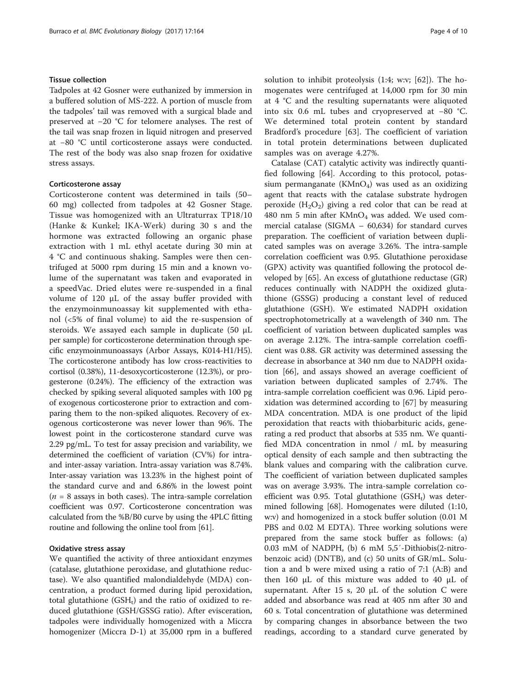## Tissue collection

Tadpoles at 42 Gosner were euthanized by immersion in a buffered solution of MS-222. A portion of muscle from the tadpoles' tail was removed with a surgical blade and preserved at −20 °C for telomere analyses. The rest of the tail was snap frozen in liquid nitrogen and preserved at −80 °C until corticosterone assays were conducted. The rest of the body was also snap frozen for oxidative stress assays.

## Corticosterone assay

Corticosterone content was determined in tails (50– 60 mg) collected from tadpoles at 42 Gosner Stage. Tissue was homogenized with an Ultraturrax TP18/10 (Hanke & Kunkel; IKA-Werk) during 30 s and the hormone was extracted following an organic phase extraction with 1 mL ethyl acetate during 30 min at 4 °C and continuous shaking. Samples were then centrifuged at 5000 rpm during 15 min and a known volume of the supernatant was taken and evaporated in a speedVac. Dried elutes were re-suspended in a final volume of 120 μL of the assay buffer provided with the enzymoinmunoassay kit supplemented with ethanol (<5% of final volume) to aid the re-suspension of steroids. We assayed each sample in duplicate (50 μL per sample) for corticosterone determination through specific enzymoinmunoassays (Arbor Assays, K014-H1/H5). The corticosterone antibody has low cross-reactivities to cortisol (0.38%), 11-desoxycorticosterone (12.3%), or progesterone (0.24%). The efficiency of the extraction was checked by spiking several aliquoted samples with 100 pg of exogenous corticosterone prior to extraction and comparing them to the non-spiked aliquotes. Recovery of exogenous corticosterone was never lower than 96%. The lowest point in the corticosterone standard curve was 2.29 pg/mL. To test for assay precision and variability, we determined the coefficient of variation (CV%) for intraand inter-assay variation. Intra-assay variation was 8.74%. Inter-assay variation was 13.23% in the highest point of the standard curve and and 6.86% in the lowest point  $(n = 8$  assays in both cases). The intra-sample correlation coefficient was 0.97. Corticosterone concentration was calculated from the %B/B0 curve by using the 4PLC fitting routine and following the online tool from [[61](#page-9-0)].

## Oxidative stress assay

We quantified the activity of three antioxidant enzymes (catalase, glutathione peroxidase, and glutathione reductase). We also quantified malondialdehyde (MDA) concentration, a product formed during lipid peroxidation, total glutathione  $(GSH_t)$  and the ratio of oxidized to reduced glutathione (GSH/GSSG ratio). After evisceration, tadpoles were individually homogenized with a Miccra homogenizer (Miccra D-1) at 35,000 rpm in a buffered solution to inhibit proteolysis (1:4; w:v; [[62\]](#page-9-0)). The homogenates were centrifuged at 14,000 rpm for 30 min at 4 °C and the resulting supernatants were aliquoted into six 0.6 mL tubes and cryopreserved at −80 °C. We determined total protein content by standard Bradford's procedure [[63](#page-9-0)]. The coefficient of variation in total protein determinations between duplicated samples was on average 4.27%.

Catalase (CAT) catalytic activity was indirectly quantified following [[64\]](#page-9-0). According to this protocol, potassium permanganate  $(KMnO<sub>4</sub>)$  was used as an oxidizing agent that reacts with the catalase substrate hydrogen peroxide  $(H_2O_2)$  giving a red color that can be read at 480 nm 5 min after  $KMnO<sub>4</sub>$  was added. We used commercial catalase (SIGMA – 60,634) for standard curves preparation. The coefficient of variation between duplicated samples was on average 3.26%. The intra-sample correlation coefficient was 0.95. Glutathione peroxidase (GPX) activity was quantified following the protocol developed by [[65\]](#page-9-0). An excess of glutathione reductase (GR) reduces continually with NADPH the oxidized glutathione (GSSG) producing a constant level of reduced glutathione (GSH). We estimated NADPH oxidation spectrophotometrically at a wavelength of 340 nm. The coefficient of variation between duplicated samples was on average 2.12%. The intra-sample correlation coefficient was 0.88. GR activity was determined assessing the decrease in absorbance at 340 nm due to NADPH oxidation [[66\]](#page-9-0), and assays showed an average coefficient of variation between duplicated samples of 2.74%. The intra-sample correlation coefficient was 0.96. Lipid peroxidation was determined according to [\[67\]](#page-9-0) by measuring MDA concentration. MDA is one product of the lipid peroxidation that reacts with thiobarbituric acids, generating a red product that absorbs at 535 nm. We quantified MDA concentration in nmol / mL by measuring optical density of each sample and then subtracting the blank values and comparing with the calibration curve. The coefficient of variation between duplicated samples was on average 3.93%. The intra-sample correlation coefficient was 0.95. Total glutathione  $(GSH_t)$  was determined following [[68\]](#page-9-0). Homogenates were diluted (1:10, w:v) and homogenized in a stock buffer solution (0.01 M PBS and 0.02 M EDTA). Three working solutions were prepared from the same stock buffer as follows: (a) 0.03 mM of NADPH, (b) 6 mM 5,5′-Dithiobis(2-nitrobenzoic acid) (DNTB), and (c) 50 units of GR/mL. Solution a and b were mixed using a ratio of 7:1 (A:B) and then 160 μL of this mixture was added to 40 μL of supernatant. After 15 s, 20  $\mu$ L of the solution C were added and absorbance was read at 405 nm after 30 and 60 s. Total concentration of glutathione was determined by comparing changes in absorbance between the two readings, according to a standard curve generated by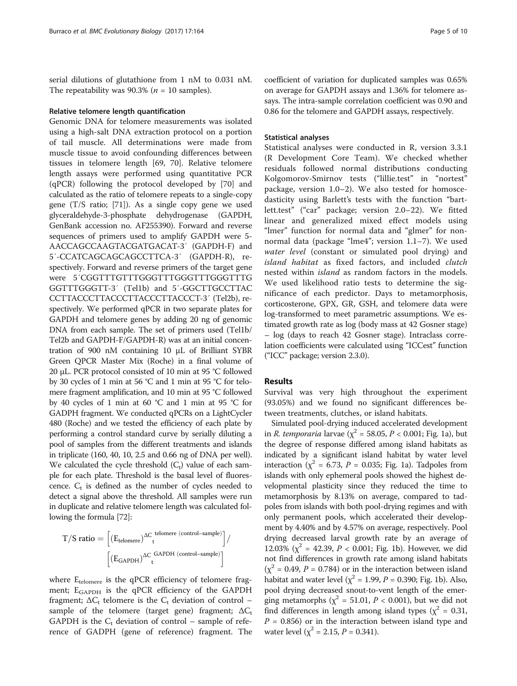serial dilutions of glutathione from 1 nM to 0.031 nM. The repeatability was 90.3% ( $n = 10$  samples).

#### Relative telomere length quantification

Genomic DNA for telomere measurements was isolated using a high-salt DNA extraction protocol on a portion of tail muscle. All determinations were made from muscle tissue to avoid confounding differences between tissues in telomere length [[69](#page-9-0), [70\]](#page-9-0). Relative telomere length assays were performed using quantitative PCR (qPCR) following the protocol developed by [\[70](#page-9-0)] and calculated as the ratio of telomere repeats to a single-copy gene (T/S ratio; [\[71\]](#page-9-0)). As a single copy gene we used glyceraldehyde-3-phosphate dehydrogenase (GAPDH, GenBank accession no. AF255390). Forward and reverse sequences of primers used to amplify GAPDH were 5- AACCAGCCAAGTACGATGACAT-3′ (GAPDH-F) and 5′-CCATCAGCAGCAGCCTTCA-3′ (GAPDH-R), respectively. Forward and reverse primers of the target gene were 5′CGGTTTGTTTGGGTTTGGGTTTGGGTTTG GGTTTGGGTT-3′ (Tel1b) and 5′-GGCTTGCCTTAC CCTTACCCTTACCCTTACCCTTACCCT-3′ (Tel2b), respectively. We performed qPCR in two separate plates for GAPDH and telomere genes by adding 20 ng of genomic DNA from each sample. The set of primers used (Tel1b/ Tel2b and GAPDH-F/GAPDH-R) was at an initial concentration of 900 nM containing 10 μL of Brilliant SYBR Green QPCR Master Mix (Roche) in a final volume of 20 μL. PCR protocol consisted of 10 min at 95 °C followed by 30 cycles of 1 min at 56 °C and 1 min at 95 °C for telomere fragment amplification, and 10 min at 95 °C followed by 40 cycles of 1 min at 60 °C and 1 min at 95 °C for GADPH fragment. We conducted qPCRs on a LightCycler 480 (Roche) and we tested the efficiency of each plate by performing a control standard curve by serially diluting a pool of samples from the different treatments and islands in triplicate (160, 40, 10, 2.5 and 0.66 ng of DNA per well). We calculated the cycle threshold  $(C_t)$  value of each sample for each plate. Threshold is the basal level of fluorescence.  $C_t$  is defined as the number of cycles needed to detect a signal above the threshold. All samples were run in duplicate and relative telomere length was calculated following the formula [\[72\]](#page-9-0):

$$
T/S\;ratio=\Big[(E_{\text{telomere}})^{\Delta C}\frac{\text{telomere (control-sample)}}{\text{t}}\Big]/\ \Big|/\Big(E_{\text{GAPDH}}\Big)^{\Delta C}\frac{\text{GAPDH (control-sample)}}{\text{t}}\Big|
$$

where  $E_{\text{telomere}}$  is the qPCR efficiency of telomere fragment; E<sub>GAPDH</sub> is the qPCR efficiency of the GAPDH fragment;  $\Delta C_t$  telomere is the  $C_t$  deviation of control – sample of the telomere (target gene) fragment;  $\Delta C_t$ GAPDH is the  $C_t$  deviation of control – sample of reference of GADPH (gene of reference) fragment. The

coefficient of variation for duplicated samples was 0.65% on average for GAPDH assays and 1.36% for telomere assays. The intra-sample correlation coefficient was 0.90 and 0.86 for the telomere and GAPDH assays, respectively.

## Statistical analyses

Statistical analyses were conducted in R, version 3.3.1 (R Development Core Team). We checked whether residuals followed normal distributions conducting Kolgomorov-Smirnov tests ("lillie.test" in "nortest" package, version 1.0–2). We also tested for homoscedasticity using Barlett's tests with the function "bartlett.test" ("car" package; version 2.0–22). We fitted linear and generalized mixed effect models using "lmer" function for normal data and "glmer" for nonnormal data (package "lme4"; version 1.1–7). We used water level (constant or simulated pool drying) and island habitat as fixed factors, and included clutch nested within island as random factors in the models. We used likelihood ratio tests to determine the significance of each predictor. Days to metamorphosis, corticosterone, GPX, GR, GSH, and telomere data were log-transformed to meet parametric assumptions. We estimated growth rate as log (body mass at 42 Gosner stage) – log (days to reach 42 Gosner stage). Intraclass correlation coefficients were calculated using "ICCest" function ("ICC" package; version 2.3.0).

#### Results

Survival was very high throughout the experiment (93.05%) and we found no significant differences between treatments, clutches, or island habitats.

Simulated pool-drying induced accelerated development in *R. temporaria* larvae ( $\chi^2$  = 58.05, *P* < 0.001; Fig. [1a](#page-5-0)), but the degree of response differed among island habitats as indicated by a significant island habitat by water level interaction ( $\chi^2$  = 6.73, P = 0.035; Fig. [1a\)](#page-5-0). Tadpoles from islands with only ephemeral pools showed the highest developmental plasticity since they reduced the time to metamorphosis by 8.13% on average, compared to tadpoles from islands with both pool-drying regimes and with only permanent pools, which accelerated their development by 4.40% and by 4.57% on average, respectively. Pool drying decreased larval growth rate by an average of 12.03% ( $\chi^2$  = 42.39, *P* < 0.001; Fig. [1b](#page-5-0)). However, we did not find differences in growth rate among island habitats  $(\chi^2 = 0.49, P = 0.784)$  or in the interaction between island habitat and water level ( $\chi^2$  = 1.99, *P* = 0.390; Fig. [1b\)](#page-5-0). Also, pool drying decreased snout-to-vent length of the emerging metamorphs ( $\chi^2$  = 51.01, *P* < 0.001), but we did not find differences in length among island types ( $\chi^2$  = 0.31,  $P = 0.856$ ) or in the interaction between island type and water level ( $\chi^2$  = 2.15, *P* = 0.341).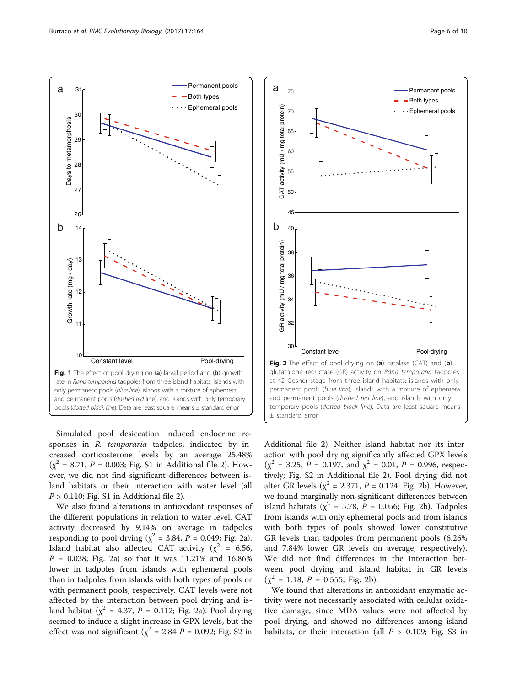<span id="page-5-0"></span>

Simulated pool desiccation induced endocrine responses in R. temporaria tadpoles, indicated by increased corticosterone levels by an average 25.48%  $(x^{2} = 8.71, P = 0.003;$  Fig. S1 in Additional file [2\)](#page-7-0). However, we did not find significant differences between island habitats or their interaction with water level (all  $P > 0.110$ ; Fig. S1 in Additional file [2\)](#page-7-0).

We also found alterations in antioxidant responses of the different populations in relation to water level. CAT activity decreased by 9.14% on average in tadpoles responding to pool drying ( $\chi^2$  = 3.84, P = 0.049; Fig. 2a). Island habitat also affected CAT activity ( $\chi^2$  = 6.56,  $P = 0.038$ ; Fig. 2a) so that it was 11.21% and 16.86% lower in tadpoles from islands with ephemeral pools than in tadpoles from islands with both types of pools or with permanent pools, respectively. CAT levels were not affected by the interaction between pool drying and island habitat ( $\chi^2$  = 4.37, P = 0.112; Fig. 2a). Pool drying seemed to induce a slight increase in GPX levels, but the effect was not significant ( $\chi^2$  = 2.84 *P* = 0.092; Fig. S2 in



Additional file [2\)](#page-7-0). Neither island habitat nor its interaction with pool drying significantly affected GPX levels  $(\chi^2 = 3.25, P = 0.197, \text{ and } \chi^2 = 0.01, P = 0.996, \text{ respec-}$ tively; Fig. S2 in Additional file [2\)](#page-7-0). Pool drying did not alter GR levels ( $\chi^2$  = 2.371, P = 0.124; Fig. 2b). However, we found marginally non-significant differences between island habitats ( $\chi^2$  = 5.78, P = 0.056; Fig. 2b). Tadpoles from islands with only ephemeral pools and from islands with both types of pools showed lower constitutive GR levels than tadpoles from permanent pools (6.26% and 7.84% lower GR levels on average, respectively). We did not find differences in the interaction between pool drying and island habitat in GR levels  $(\chi^2 = 1.18, P = 0.555; Fig. 2b).$ 

We found that alterations in antioxidant enzymatic activity were not necessarily associated with cellular oxidative damage, since MDA values were not affected by pool drying, and showed no differences among island habitats, or their interaction (all  $P > 0.109$ ; Fig. S3 in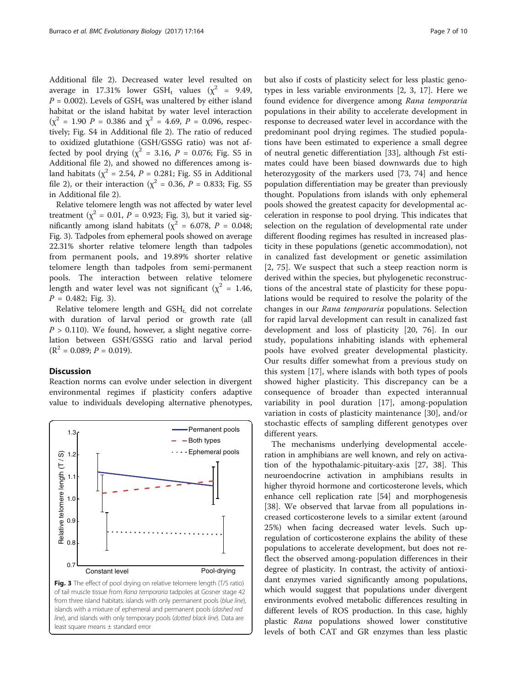Additional file [2](#page-7-0)). Decreased water level resulted on average in 17.31% lower GSH<sub>t</sub> values ( $\chi^2$  = 9.49,  $P = 0.002$ ). Levels of GSH<sub>t</sub> was unaltered by either island habitat or the island habitat by water level interaction  $(\chi^2 = 1.90 \ P = 0.386 \text{ and } \chi^2 = 4.69, P = 0.096, \text{ respec-}$ tively; Fig. S4 in Additional file [2](#page-7-0)). The ratio of reduced to oxidized glutathione (GSH/GSSG ratio) was not affected by pool drying ( $\chi^2$  = 3.16, P = 0.076; Fig. S5 in Additional file [2\)](#page-7-0), and showed no differences among island habitats ( $\chi^2$  = 2.54, *P* = 0.281; Fig. S5 in Additional file [2\)](#page-7-0), or their interaction ( $\chi^2$  = 0.36, *P* = 0.833; Fig. S5 in Additional file [2\)](#page-7-0).

Relative telomere length was not affected by water level treatment ( $\chi^2$  = 0.01, P = 0.923; Fig. 3), but it varied significantly among island habitats ( $\chi^2$  = 6.078, P = 0.048; Fig. 3). Tadpoles from ephemeral pools showed on average 22.31% shorter relative telomere length than tadpoles from permanent pools, and 19.89% shorter relative telomere length than tadpoles from semi-permanent pools. The interaction between relative telomere length and water level was not significant ( $\chi^2$  = 1.46,  $P = 0.482$ ; Fig. 3).

Relative telomere length and  $GSH_t$ , did not correlate with duration of larval period or growth rate (all  $P > 0.110$ ). We found, however, a slight negative correlation between GSH/GSSG ratio and larval period  $(R<sup>2</sup> = 0.089; P = 0.019).$ 

## **Discussion**

Reaction norms can evolve under selection in divergent environmental regimes if plasticity confers adaptive value to individuals developing alternative phenotypes,



from three island habitats: islands with only permanent pools (blue line), islands with a mixture of ephemeral and permanent pools (dashed red line), and islands with only temporary pools (dotted black line). Data are least square means ± standard error

but also if costs of plasticity select for less plastic genotypes in less variable environments [[2, 3](#page-8-0), [17](#page-8-0)]. Here we found evidence for divergence among Rana temporaria populations in their ability to accelerate development in response to decreased water level in accordance with the predominant pool drying regimes. The studied populations have been estimated to experience a small degree of neutral genetic differentiation [[33](#page-8-0)], although Fst estimates could have been biased downwards due to high heterozygosity of the markers used [\[73](#page-9-0), [74\]](#page-9-0) and hence population differentiation may be greater than previously thought. Populations from islands with only ephemeral pools showed the greatest capacity for developmental acceleration in response to pool drying. This indicates that selection on the regulation of developmental rate under different flooding regimes has resulted in increased plasticity in these populations (genetic accommodation), not in canalized fast development or genetic assimilation [[2,](#page-8-0) [75](#page-9-0)]. We suspect that such a steep reaction norm is derived within the species, but phylogenetic reconstructions of the ancestral state of plasticity for these populations would be required to resolve the polarity of the changes in our Rana temporaria populations. Selection for rapid larval development can result in canalized fast development and loss of plasticity [[20,](#page-8-0) [76](#page-9-0)]. In our study, populations inhabiting islands with ephemeral pools have evolved greater developmental plasticity. Our results differ somewhat from a previous study on this system [[17\]](#page-8-0), where islands with both types of pools showed higher plasticity. This discrepancy can be a consequence of broader than expected interannual variability in pool duration [\[17](#page-8-0)], among-population variation in costs of plasticity maintenance [[30\]](#page-8-0), and/or stochastic effects of sampling different genotypes over different years.

The mechanisms underlying developmental acceleration in amphibians are well known, and rely on activation of the hypothalamic-pituitary-axis [\[27](#page-8-0), [38](#page-8-0)]. This neuroendocrine activation in amphibians results in higher thyroid hormone and corticosterone levels, which enhance cell replication rate [\[54](#page-9-0)] and morphogenesis [[38\]](#page-8-0). We observed that larvae from all populations increased corticosterone levels to a similar extent (around 25%) when facing decreased water levels. Such upregulation of corticosterone explains the ability of these populations to accelerate development, but does not reflect the observed among-population differences in their degree of plasticity. In contrast, the activity of antioxidant enzymes varied significantly among populations, which would suggest that populations under divergent environments evolved metabolic differences resulting in different levels of ROS production. In this case, highly plastic Rana populations showed lower constitutive levels of both CAT and GR enzymes than less plastic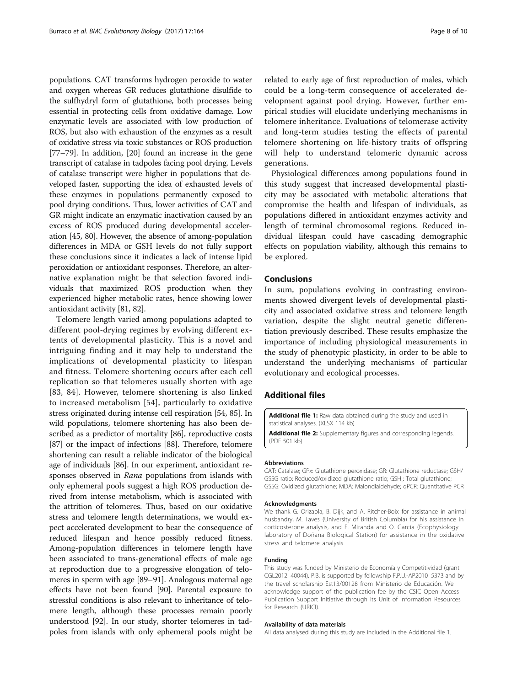<span id="page-7-0"></span>populations. CAT transforms hydrogen peroxide to water and oxygen whereas GR reduces glutathione disulfide to the sulfhydryl form of glutathione, both processes being essential in protecting cells from oxidative damage. Low enzymatic levels are associated with low production of ROS, but also with exhaustion of the enzymes as a result of oxidative stress via toxic substances or ROS production [[77](#page-9-0)–[79\]](#page-9-0). In addition, [[20](#page-8-0)] found an increase in the gene transcript of catalase in tadpoles facing pool drying. Levels of catalase transcript were higher in populations that developed faster, supporting the idea of exhausted levels of these enzymes in populations permanently exposed to pool drying conditions. Thus, lower activities of CAT and GR might indicate an enzymatic inactivation caused by an excess of ROS produced during developmental acceleration [\[45, 80](#page-9-0)]. However, the absence of among-population differences in MDA or GSH levels do not fully support these conclusions since it indicates a lack of intense lipid peroxidation or antioxidant responses. Therefore, an alternative explanation might be that selection favored individuals that maximized ROS production when they experienced higher metabolic rates, hence showing lower antioxidant activity [[81](#page-9-0), [82\]](#page-9-0).

Telomere length varied among populations adapted to different pool-drying regimes by evolving different extents of developmental plasticity. This is a novel and intriguing finding and it may help to understand the implications of developmental plasticity to lifespan and fitness. Telomere shortening occurs after each cell replication so that telomeres usually shorten with age [[83](#page-9-0), [84](#page-9-0)]. However, telomere shortening is also linked to increased metabolism [[54\]](#page-9-0), particularly to oxidative stress originated during intense cell respiration [\[54, 85](#page-9-0)]. In wild populations, telomere shortening has also been described as a predictor of mortality [\[86\]](#page-9-0), reproductive costs [[87](#page-9-0)] or the impact of infections [[88\]](#page-9-0). Therefore, telomere shortening can result a reliable indicator of the biological age of individuals [\[86](#page-9-0)]. In our experiment, antioxidant responses observed in Rana populations from islands with only ephemeral pools suggest a high ROS production derived from intense metabolism, which is associated with the attrition of telomeres. Thus, based on our oxidative stress and telomere length determinations, we would expect accelerated development to bear the consequence of reduced lifespan and hence possibly reduced fitness. Among-population differences in telomere length have been associated to trans-generational effects of male age at reproduction due to a progressive elongation of telomeres in sperm with age [[89](#page-9-0)–[91\]](#page-9-0). Analogous maternal age effects have not been found [\[90\]](#page-9-0). Parental exposure to stressful conditions is also relevant to inheritance of telomere length, although these processes remain poorly understood [\[92](#page-9-0)]. In our study, shorter telomeres in tadpoles from islands with only ephemeral pools might be

related to early age of first reproduction of males, which could be a long-term consequence of accelerated development against pool drying. However, further empirical studies will elucidate underlying mechanisms in telomere inheritance. Evaluations of telomerase activity and long-term studies testing the effects of parental telomere shortening on life-history traits of offspring will help to understand telomeric dynamic across generations.

Physiological differences among populations found in this study suggest that increased developmental plasticity may be associated with metabolic alterations that compromise the health and lifespan of individuals, as populations differed in antioxidant enzymes activity and length of terminal chromosomal regions. Reduced individual lifespan could have cascading demographic effects on population viability, although this remains to be explored.

## Conclusions

In sum, populations evolving in contrasting environments showed divergent levels of developmental plasticity and associated oxidative stress and telomere length variation, despite the slight neutral genetic differentiation previously described. These results emphasize the importance of including physiological measurements in the study of phenotypic plasticity, in order to be able to understand the underlying mechanisms of particular evolutionary and ecological processes.

## Additional files

[Additional file 1:](dx.doi.org/10.1186/s12862-017-1004-1) Raw data obtained during the study and used in statistical analyses. (XLSX 114 kb)

[Additional file 2:](dx.doi.org/10.1186/s12862-017-1004-1) Supplementary figures and corresponding legends. (PDF 501 kb)

#### Abbreviations

CAT: Catalase; GPx: Glutathione peroxidase; GR: Glutathione reductase; GSH/ GSSG ratio: Reduced/oxidized glutathione ratio; GSH<sub>t</sub>: Total glutathione; GSSG: Oxidized glutathione; MDA: Malondialdehyde; qPCR: Quantitative PCR

#### Acknowledgments

We thank G. Orizaola, B. Dijk, and A. Ritcher-Boix for assistance in animal husbandry, M. Taves (University of British Columbia) for his assistance in corticosterone analysis, and F. Miranda and O. García (Ecophysiology laboratory of Doñana Biological Station) for assistance in the oxidative stress and telomere analysis.

#### Funding

This study was funded by Ministerio de Economía y Competitividad (grant CGL2012–40044). P.B. is supported by fellowship F.P.U.-AP2010–5373 and by the travel scholarship Est13/00128 from Ministerio de Educación. We acknowledge support of the publication fee by the CSIC Open Access Publication Support Initiative through its Unit of Information Resources for Research (URICI).

#### Availability of data materials

All data analysed during this study are included in the Additional file 1.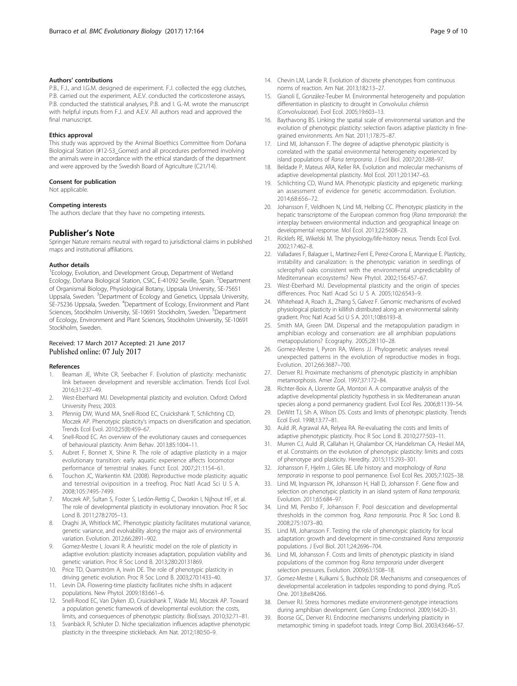#### <span id="page-8-0"></span>Authors' contributions

P.B., F.J., and I.G.M. designed de experiment. F.J. collected the egg clutches, P.B. carried out the experiment, A.E.V. conducted the corticosterone assays, P.B. conducted the statistical analyses, P.B. and I. G.-M. wrote the manuscript with helpful inputs from F.J. and A.E.V. All authors read and approved the final manuscript.

#### Ethics approval

This study was approved by the Animal Bioethics Committee from Doñana Biological Station (#12-53\_Gomez) and all procedures performed involving the animals were in accordance with the ethical standards of the department and were approved by the Swedish Board of Agriculture (C21/14).

#### Consent for publication

Not applicable.

#### Competing interests

The authors declare that they have no competing interests.

### Publisher's Note

Springer Nature remains neutral with regard to jurisdictional claims in published maps and institutional affiliations.

#### Author details

<sup>1</sup> Ecology, Evolution, and Development Group, Department of Wetland Ecology, Doñana Biological Station, CSIC, E-41092 Seville, Spain. <sup>2</sup>Department of Organismal Biology, Physiological Botany, Uppsala University, SE-75651 Uppsala, Sweden. <sup>3</sup>Department of Ecology and Genetics, Uppsala University, SE-75236 Uppsala, Sweden. <sup>4</sup>Department of Ecology, Environment and Plant Sciences, Stockholm University, SE-10691 Stockholm, Sweden. <sup>5</sup>Department of Ecology, Environment and Plant Sciences, Stockholm University, SE-10691 Stockholm, Sweden.

## Received: 17 March 2017 Accepted: 21 June 2017 Published online: 07 July 2017

#### References

- Beaman JE, White CR, Seebacher F. Evolution of plasticity: mechanistic link between development and reversible acclimation. Trends Ecol Evol. 2016;31:237–49.
- 2. West-Eberhard MJ. Developmental plasticity and evolution. Oxford: Oxford University Press; 2003.
- 3. Pfennig DW, Wund MA, Snell-Rood EC, Cruickshank T, Schlichting CD, Moczek AP. Phenotypic plasticity's impacts on diversification and speciation. Trends Ecol Evol. 2010;25(8):459–67.
- 4. Snell-Rood EC. An overview of the evolutionary causes and consequences of behavioural plasticity. Anim Behav. 2013;85:1004–11.
- 5. Aubret F, Bonnet X, Shine R. The role of adaptive plasticity in a major evolutionary transition: early aquatic experience affects locomotor performance of terrestrial snakes. Funct Ecol. 2007;21:1154–61.
- 6. Touchon JC, Warkentin KM. (2008). Reproductive mode plasticity: aquatic and terrestrial oviposition in a treefrog. Proc Natl Acad Sci U S A. 2008;105:7495-7499.
- 7. Moczek AP, Sultan S, Foster S, Ledón-Rettig C, Dworkin I, Nijhout HF, et al. The role of developmental plasticity in evolutionary innovation. Proc R Soc Lond B. 2011;278:2705–13.
- 8. Draghi JA, Whitlock MC. Phenotypic plasticity facilitates mutational variance, genetic variance, and evolvability along the major axis of environmental variation. Evolution. 2012;66:2891–902.
- Gomez-Mestre I, Jovani R. A heuristic model on the role of plasticity in adaptive evolution: plasticity increases adaptation, population viability and genetic variation. Proc R Soc Lond B. 2013;280:20131869.
- 10. Price TD, Qvarnström A, Irwin DE. The role of phenotypic plasticity in driving genetic evolution. Proc R Soc Lond B. 2003;270:1433–40.
- 11. Levin DA. Flowering-time plasticity facilitates niche shifts in adjacent populations. New Phytol. 2009;183:661–6.
- 12. Snell-Rood EC, Van Dyken JD, Cruickshank T, Wade MJ, Moczek AP. Toward a population genetic framework of developmental evolution: the costs, limits, and consequences of phenotypic plasticity. BioEssays. 2010;32:71–81.
- 13. Svanbäck R, Schluter D. Niche specialization influences adaptive phenotypic plasticity in the threespine stickleback. Am Nat. 2012;180:50–9.
- 14. Chevin LM, Lande R. Evolution of discrete phenotypes from continuous norms of reaction. Am Nat. 2013;182:13–27.
- 15. Gianoli E, González-Teuber M. Environmental heterogeneity and population differentiation in plasticity to drought in Convolvulus chilensis (Convolvulaceae). Evol Ecol. 2005;19:603–13.
- 16. Baythavong BS. Linking the spatial scale of environmental variation and the evolution of phenotypic plasticity: selection favors adaptive plasticity in finegrained environments. Am Nat. 2011;178:75–87.
- 17. Lind MI, Johansson F. The degree of adaptive phenotypic plasticity is correlated with the spatial environmental heterogeneity experienced by island populations of Rana temporaria. J Evol Biol. 2007;20:1288–97.
- 18. Beldade P, Mateus ARA, Keller RA. Evolution and molecular mechanisms of adaptive developmental plasticity. Mol Ecol. 2011;20:1347–63.
- 19. Schlichting CD, Wund MA. Phenotypic plasticity and epigenetic marking: an assessment of evidence for genetic accommodation. Evolution. 2014;68:656–72.
- 20. Johansson F, Veldhoen N, Lind MI, Helbing CC. Phenotypic plasticity in the hepatic transcriptome of the European common frog (Rana temporaria): the interplay between environmental induction and geographical lineage on developmental response. Mol Ecol. 2013;22:5608–23.
- 21. Ricklefs RE, Wikelski M. The physiology/life-history nexus. Trends Ecol Evol. 2002;17:462–8.
- 22. Valladares F, Balaguer L, Martinez-Ferri E, Perez-Corona E, Manrique E. Plasticity, instability and canalization: is the phenotypic variation in seedlings of sclerophyll oaks consistent with the environmental unpredictability of Mediterranean ecosystems? New Phytol. 2002;156:457–67.
- 23. West-Eberhard MJ. Developmental plasticity and the origin of species differences. Proc Natl Acad Sci U S A. 2005;102:6543–9.
- 24. Whitehead A, Roach JL, Zhang S, Galvez F. Genomic mechanisms of evolved physiological plasticity in killifish distributed along an environmental salinity gradient. Proc Natl Acad Sci U S A. 2011;108:6193–8.
- 25. Smith MA, Green DM. Dispersal and the metapopulation paradigm in amphibian ecology and conservation: are all amphibian populations metapopulations? Ecography. 2005;28:110–28.
- 26. Gomez-Mestre I, Pyron RA, Wiens JJ. Phylogenetic analyses reveal unexpected patterns in the evolution of reproductive modes in frogs. Evolution. 2012;66:3687–700.
- 27. Denver RJ. Proximate mechanisms of phenotypic plasticity in amphibian metamorphosis. Amer Zool. 1997;37:172–84.
- 28. Richter-Boix A, Llorente GA, Montori A. A comparative analysis of the adaptive developmental plasticity hypothesis in six Mediterranean anuran species along a pond permanency gradient. Evol Ecol Res. 2006;8:1139–54.
- 29. DeWitt TJ, Sih A, Wilson DS. Costs and limits of phenotypic plasticity. Trends Ecol Evol. 1998;13:77–81.
- 30. Auld JR, Agrawal AA, Relyea RA. Re-evaluating the costs and limits of adaptive phenotypic plasticity. Proc R Soc Lond B. 2010;277:503–11.
- 31. Murren CJ, Auld JR, Callahan H, Ghalambor CK, Handelsman CA, Heskel MA, et al. Constraints on the evolution of phenotypic plasticity: limits and costs of phenotype and plasticity. Heredity. 2015;115:293–301.
- 32. Johansson F, Hjelm J, Giles BE. Life history and morphology of Rana temporaria in response to pool permanence. Evol Ecol Res. 2005;7:1025–38.
- 33. Lind MI, Ingvarsson PK, Johansson H, Hall D, Johansson F. Gene flow and selection on phenotypic plasticity in an island system of Rana temporaria. Evolution. 2011;65:684–97.
- 34. Lind MI, Persbo F, Johansson F. Pool desiccation and developmental thresholds in the common frog, Rana temporaria. Proc R Soc Lond B. 2008;275:1073–80.
- 35. Lind MI, Johansson F. Testing the role of phenotypic plasticity for local adaptation: growth and development in time-constrained Rana temporaria populations. J Evol Biol. 2011;24:2696–704.
- 36. Lind MI, Johansson F. Costs and limits of phenotypic plasticity in island populations of the common frog Rana temporaria under divergent selection pressures. Evolution. 2009;63:1508–18.
- 37. Gomez-Mestre I, Kulkarni S, Buchholz DR. Mechanisms and consequences of developmental acceleration in tadpoles responding to pond drying. PLoS One. 2013;8:e84266.
- 38. Denver RJ. Stress hormones mediate environment-genotype interactions during amphibian development. Gen Comp Endocrinol. 2009;164:20–31.
- 39. Boorse GC, Denver RJ. Endocrine mechanisms underlying plasticity in metamorphic timing in spadefoot toads. Integr Comp Biol. 2003;43:646–57.